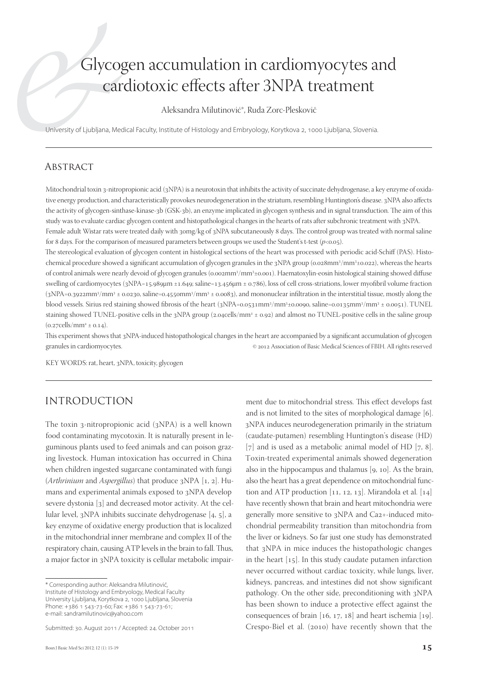# Glycogen accumulation in cardiomyocytes and cardiotoxic effects after 3NPA treatment

Aleksandra Milutinović\*, Ruda Zorc-Pleskovič

University of Ljubljana, Medical Faculty, Institute of Histology and Embryology, Korytkova 2, 1000 Ljubljana, Slovenia.

## **ABSTRACT**

Mitochondrial toxin 3-nitropropionic acid (3NPA) is a neurotoxin that inhibits the activity of succinate dehydrogenase, a key enzyme of oxidative energy production, and characteristically provokes neurodegeneration in the striatum, resembling Huntington's disease. 3NPA also affects the activity of glycogen-sinthase-kinase-3b (GSK-3b), an enzyme implicated in glycogen synthesis and in signal transduction. The aim of this study was to evaluate cardiac glycogen content and histopathological changes in the hearts of rats after subchronic treatment with 3NPA.

Female adult Wistar rats were treated daily with 30mg/kg of 3NPA subcutaneously 8 days. The control group was treated with normal saline for 8 days. For the comparison of measured parameters between groups we used the Student's t-test  $(p<0.05)$ .

The stereological evaluation of glycogen content in histological sections of the heart was processed with periodic acid-Schiff (PAS). Histochemical procedure showed a significant accumulation of glycogen granules in the 3NPA group (0.028mm<sup>3</sup>/mm<sup>3</sup>±0.022), whereas the hearts of control animals were nearly devoid of glycogen granules (0.002mm<sup>3</sup>/mm<sup>3</sup>±0.001). Haematoxylin-eosin histological staining showed diffuse swelling of cardiomyocytes  $(3NPA=15.989\mu m + 1.649)$ ; saline= $13.456\mu m + 0.786$ ), loss of cell cross-striations, lower myofibril volume fraction  $(3NPA = 0.3922mm<sup>3</sup>/mm<sup>3</sup> \pm 0.0230$ , saline=0.4550mm<sup>3</sup>/mm<sup>3</sup>  $\pm$  0.0083), and mononuclear infiltration in the interstitial tissue, mostly along the blood vessels. Sirius red staining showed fibrosis of the heart (3NPA=0.0531mm<sup>3</sup>/mm<sup>3</sup>±0.0090, saline=0.0135mm<sup>3</sup>/mm<sup>3</sup> ± 0.0051). TUNEL staining showed TUNEL-positive cells in the 3NPA group (2.04cells/mm<sup>2</sup> ± 0.92) and almost no TUNEL-positive cells in the saline group  $(0.27 \, \text{cells/mm}^2 \pm 0.14).$ 

This experiment shows that 3NPA-induced histopathological changes in the heart are accompanied by a significant accumulation of glycogen granules in cardiomyocytes. © Association of Basic Medical Sciences of FBIH. All rights reserved

KEY WORDS: rat, heart, 3NPA, toxicity, glycogen

# INTRODUCTION

The toxin 3-nitropropionic acid  $(3NPA)$  is a well known food contaminating mycotoxin. It is naturally present in leguminous plants used to feed animals and can poison grazing livestock. Human intoxication has occurred in China when children ingested sugarcane contaminated with fungi (*Arthrinium* and *Aspergillus*) that produce 3NPA [1, 2]. Humans and experimental animals exposed to 3NPA develop severe dystonia [3] and decreased motor activity. At the cellular level,  $3NPA$  inhibits succinate dehydrogenase  $[4, 5]$ , a key enzyme of oxidative energy production that is localized in the mitochondrial inner membrane and complex II of the respiratory chain, causing ATP levels in the brain to fall. Thus, a major factor in 3NPA toxicity is cellular metabolic impair-

ment due to mitochondrial stress. This effect develops fast and is not limited to the sites of morphological damage [6]. NPA induces neurodegeneration primarily in the striatum (caudate-putamen) resembling Huntington's disease (HD) [7] and is used as a metabolic animal model of HD [7, 8]. Toxin-treated experimental animals showed degeneration also in the hippocampus and thalamus  $[9, 10]$ . As the brain, also the heart has a great dependence on mitochondrial function and ATP production  $[11, 12, 13]$ . Mirandola et al.  $[14]$ have recently shown that brain and heart mitochondria were generally more sensitive to 3NPA and Ca2+-induced mitochondrial permeability transition than mitochondria from the liver or kidneys. So far just one study has demonstrated that 3NPA in mice induces the histopathologic changes in the heart  $[15]$ . In this study caudate putamen infarction never occurred without cardiac toxicity, while lungs, liver, kidneys, pancreas, and intestines did not show significant pathology. On the other side, preconditioning with 3NPA has been shown to induce a protective effect against the consequences of brain  $[16, 17, 18]$  and heart ischemia  $[19]$ . Crespo-Biel et al. (2010) have recently shown that the

<sup>\*</sup> Corresponding author: Aleksandra Milutinović, Institute of Histology and Embryology, Medical Faculty University Ljubljana, Korytkova 2, 1000 Ljubljana, Slovenia Phone: +386 1 543-73-60; Fax: +386 1 543-73-61; e-mail: sandramilutinovic@yahoo.com

Submitted: 30. August 2011 / Accepted: 24. October 2011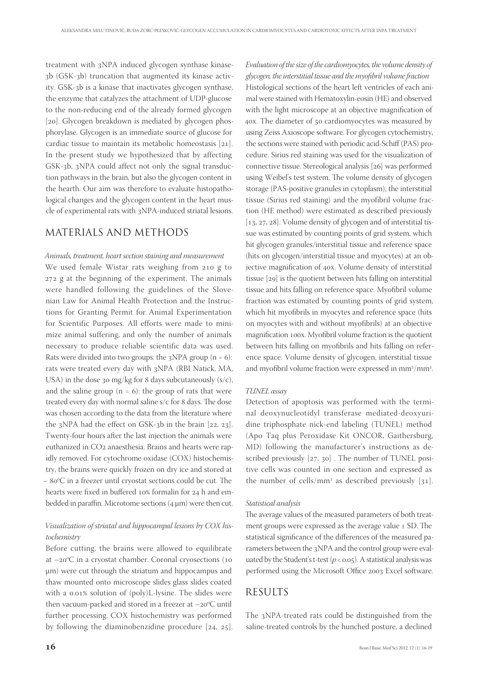treatment with 3NPA induced glycogen synthase kinase $ab$  (GSK- $ab$ ) truncation that augmented its kinase activity. GSK-3b is a kinase that inactivates glycogen synthase, the enzyme that catalyzes the attachment of UDP-glucose to the non-reducing end of the already formed glycogen [20]. Glycogen breakdown is mediated by glycogen phosphorylase. Glycogen is an immediate source of glucose for cardiac tissue to maintain its metabolic homeostasis  $[21]$ . In the present study we hypothesized that by affecting GSK-3b, 3NPA could affect not only the signal transduction pathways in the brain, but also the glycogen content in the hearth. Our aim was therefore to evaluate histopathological changes and the glycogen content in the heart muscle of experimental rats with 3NPA-induced striatal lesions.

## MATERIALS AND METHODS

#### *Animals, treatment, heart section staining and measurement*

We used female Wistar rats weighing from 210 g to 272 g at the beginning of the experiment. The animals were handled following the guidelines of the Slovenian Law for Animal Health Protection and the Instructions for Granting Permit for Animal Experimentation for Scientific Purposes. All efforts were made to minimize animal suffering, and only the number of animals necessary to produce reliable scientific data was used. Rats were divided into two groups: the 3NPA group  $(n = 6)$ : rats were treated every day with 3NPA (RBI Natick, MA, USA) in the dose 30 mg/kg for 8 days subcutaneously  $(s/c)$ , and the saline group  $(n = 6)$ : the group of rats that were treated every day with normal saline  $s/c$  for 8 days. The dose was chosen according to the data from the literature where the  $3NPA$  had the effect on GSK- $3b$  in the brain [22, 23]. Twenty-four hours after the last injection the animals were euthanized in CO<sub>2</sub> anaesthesia. Brains and hearts were rapidly removed. For cytochrome oxidase (COX) histochemistry, the brains were quickly frozen on dry ice and stored at  $-$  80 $\rm{°C}$  in a freezer until cryostat sections could be cut. The hearts were fixed in buffered 10% formalin for 24 h and embedded in paraffin. Microtome sections  $(4 \mu m)$  were then cut.

## *Visualization of striatal and hippocampal lesions by COX histochemistry*

Before cutting, the brains were allowed to equilibrate at –20°C in a cryostat chamber. Coronal cryosections (10 μm) were cut through the striatum and hippocampus and thaw mounted onto microscope slides glass slides coated with a  $0.01\%$  solution of (poly)L-lysine. The slides were then vacuum-packed and stored in a freezer at  $-$ 20°C until further processing. COX histochemistry was performed by following the diaminobenzidine procedure  $[24, 25]$ . *Evaluation of the size of the cardiomyocytes, the volume density of glycogen, the interstitial tissue and the myofi bril volume fraction*  Histological sections of the heart left ventricles of each animal were stained with Hematoxylin-eosin (HE) and observed with the light microscope at an objective magnification of 40x. The diameter of 50 cardiomyocytes was measured by using Zeiss Axioscope software. For glycogen cytochemistry, the sections were stained with periodic acid-Schiff (PAS) procedure. Sirius red staining was used for the visualization of connective tissue. Stereological analysis [26] was performed using Weibel's test system. The volume density of glycogen storage (PAS-positive granules in cytoplasm), the interstitial tissue (Sirius red staining) and the myofibril volume fraction (HE method) were estimated as described previously  $[13, 27, 28]$ . Volume density of glycogen and of interstitial tissue was estimated by counting points of grid system, which hit glycogen granules/interstitial tissue and reference space (hits on glycogen/interstitial tissue and myocytes) at an objective magnification of 40x. Volume density of interstitial tissue  $[29]$  is the quotient between hits falling on interstitial tissue and hits falling on reference space. Myofibril volume fraction was estimated by counting points of grid system, which hit myofibrils in myocytes and reference space (hits on myocytes with and without myofibrils) at an objective magnification 100x. Myofibril volume fraction is the quotient between hits falling on myofibrils and hits falling on reference space. Volume density of glycogen, interstitial tissue and myofibril volume fraction were expressed in mm<sup>3</sup>/mm<sup>3</sup>.

#### *TUNEL assay*

Detection of apoptosis was performed with the terminal deoxynucleotidyl transferase mediated-deoxyuridine triphosphate nick-end labeling (TUNEL) method (Apo Taq plus Peroxidase Kit ONCOR, Gaithersburg, MD) following the manufacturer's instructions as described previously  $[27, 30]$  . The number of TUNEL positive cells was counted in one section and expressed as the number of cells/ $mm<sup>2</sup>$  as described previously [31].

#### *Statistical analysis*

The average values of the measured parameters of both treatment groups were expressed as the average value  $\pm$  SD. The statistical significance of the differences of the measured parameters between the 3NPA and the control group were evaluated by the Student's t-test  $(p < 0.05)$ . A statistical analysis was performed using the Microsoft Office 2003 Excel software.

## RESULTS

The 3NPA-treated rats could be distinguished from the saline-treated controls by the hunched posture, a declined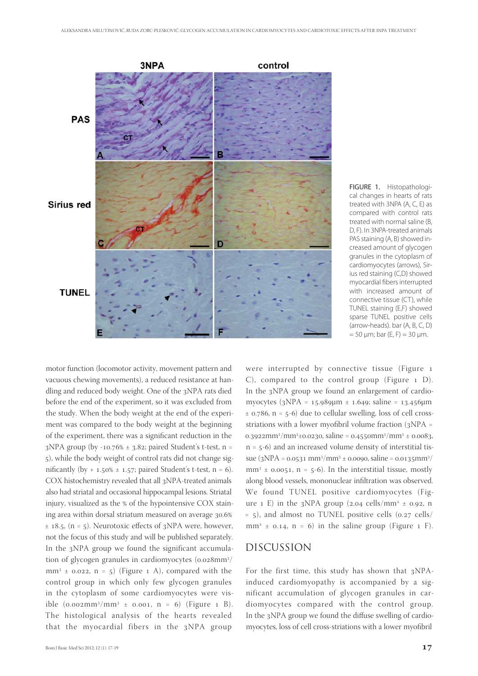

FIGURE 1. Histopathological changes in hearts of rats treated with 3NPA (A, C, E) as compared with control rats treated with normal saline (B, D, F). In 3NPA-treated animals PAS staining (A, B) showed increased amount of glycogen granules in the cytoplasm of cardiomyocytes (arrows), Sirius red staining (C,D) showed myocardial fibers interrupted with increased amount of connective tissue (CT), while TUNEL staining (E,F) showed sparse TUNEL positive cells (arrow-heads). bar (A, B, C, D)  $= 50 \mu m$ ; bar (E, F) = 30  $\mu m$ .

motor function (locomotor activity, movement pattern and vacuous chewing movements), a reduced resistance at handling and reduced body weight. One of the 3NPA rats died before the end of the experiment, so it was excluded from the study. When the body weight at the end of the experiment was compared to the body weight at the beginning of the experiment, there was a significant reduction in the 3NPA group (by -10.76%  $\pm$  3.82; paired Student's t-test, n = ), while the body weight of control rats did not change significantly (by +  $1.50\% \pm 1.57$ ; paired Student's t-test, n = 6). COX histochemistry revealed that all 3NPA-treated animals also had striatal and occasional hippocampal lesions. Striatal injury, visualized as the % of the hypointensive COX staining area within dorsal striatum measured on average 30.6%  $\pm$  18.5, (n = 5). Neurotoxic effects of 3NPA were, however, not the focus of this study and will be published separately. In the 3NPA group we found the significant accumulation of glycogen granules in cardiomyocytes (0.028mm $^3\!/$  $mm<sup>3</sup> \pm 0.022$ ,  $n = 5$ ) (Figure 1 A), compared with the control group in which only few glycogen granules in the cytoplasm of some cardiomyocytes were visible (0.002mm<sup>3</sup>/mm<sup>3</sup> ± 0.001, n = 6) (Figure 1 B). The histological analysis of the hearts revealed that the myocardial fibers in the 3NPA group

were interrupted by connective tissue (Figure 1  $(C)$ , compared to the control group (Figure  $1$  D). In the 3NPA group we found an enlargement of cardiomyocytes  $(3NPA = 15.989 \mu m \pm 1.649;$  saline =  $13.456 \mu m$  $\pm$  0.786, n = 5-6) due to cellular swelling, loss of cell crossstriations with a lower myofibril volume fraction  $(3NPA =$  $0.3922$ mm<sup>3</sup>/mm<sup>3</sup>±0.0230, saline = 0.4550mm<sup>3</sup>/mm<sup>3</sup> ± 0.0083,  $n = 5-6$ ) and an increased volume density of interstitial tissue  $(3NPA = 0.0531 \text{ mm}^3/\text{mm}^3 \pm 0.0090, \text{saline} = 0.0135 \text{mm}^3/$  $mm<sup>3</sup> \pm 0.0051$ , n = 5-6). In the interstitial tissue, mostly along blood vessels, mononuclear infiltration was observed. We found TUNEL positive cardiomyocytes (Figure 1 E) in the 3NPA group  $(2.04 \text{ cells/mm}^2 \pm 0.92, \text{ n})$  $= 5$ ), and almost no TUNEL positive cells (0.27 cells/ mm<sup>2</sup>  $\pm$  0.14, n = 6) in the saline group (Figure 1 F).

### DISCUSSION

For the first time, this study has shown that  $3NPA$ induced cardiomyopathy is accompanied by a significant accumulation of glycogen granules in cardiomyocytes compared with the control group. In the 3NPA group we found the diffuse swelling of cardiomyocytes, loss of cell cross-striations with a lower myofibril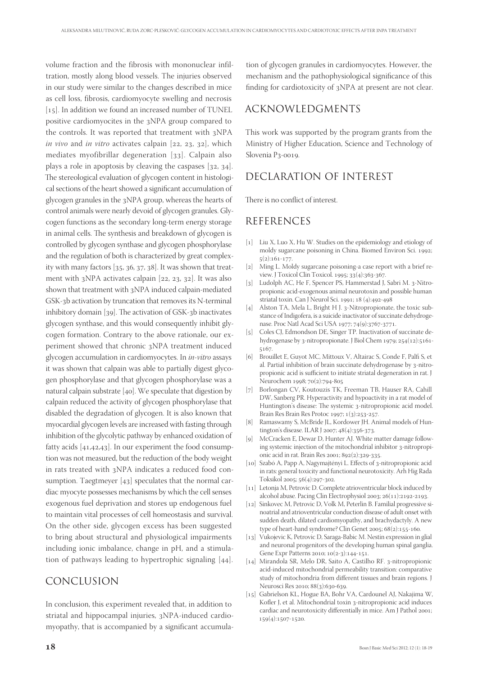volume fraction and the fibrosis with mononuclear infiltration, mostly along blood vessels. The injuries observed in our study were similar to the changes described in mice as cell loss, fibrosis, cardiomyocyte swelling and necrosis  $[15]$ . In addition we found an increased number of TUNEL positive cardiomyocites in the 3NPA group compared to the controls. It was reported that treatment with 3NPA *in vivo* and *in vitro* activates calpain  $[22, 23, 32]$ , which mediates myofibrillar degeneration  $[33]$ . Calpain also plays a role in apoptosis by cleaving the caspases  $[32, 34]$ . The stereological evaluation of glycogen content in histological sections of the heart showed a significant accumulation of glycogen granules in the 3NPA group, whereas the hearts of control animals were nearly devoid of glycogen granules. Glycogen functions as the secondary long-term energy storage in animal cells. The synthesis and breakdown of glycogen is controlled by glycogen synthase and glycogen phosphorylase and the regulation of both is characterized by great complexity with many factors  $[35, 36, 37, 38]$ . It was shown that treatment with  $3NPA$  activates calpain [22, 23, 32]. It was also shown that treatment with 3NPA induced calpain-mediated GSK-3b activation by truncation that removes its N-terminal inhibitory domain  $[39]$ . The activation of GSK-3b inactivates glycogen synthase, and this would consequently inhibit glycogen formation. Contrary to the above rationale, our experiment showed that chronic 3NPA treatment induced glycogen accumulation in cardiomyocytes. In *in-vitro* assays it was shown that calpain was able to partially digest glycogen phosphorylase and that glycogen phosphorylase was a natural calpain substrate  $[40]$ . We speculate that digestion by calpain reduced the activity of glycogen phosphorylase that disabled the degradation of glycogen. It is also known that myocardial glycogen levels are increased with fasting through inhibition of the glycolytic pathway by enhanced oxidation of fatty acids  $[41,42,43]$ . In our experiment the food consumption was not measured, but the reduction of the body weight in rats treated with 3NPA indicates a reduced food consumption. Taegtmeyer  $[43]$  speculates that the normal cardiac myocyte possesses mechanisms by which the cell senses exogenous fuel deprivation and stores up endogenous fuel to maintain vital processes of cell homeostasis and survival. On the other side, glycogen excess has been suggested to bring about structural and physiological impairments including ionic imbalance, change in pH, and a stimulation of pathways leading to hypertrophic signaling  $[44]$ .

## CONCLUSION

In conclusion, this experiment revealed that, in addition to striatal and hippocampal injuries, 3NPA-induced cardiomyopathy, that is accompanied by a significant accumulation of glycogen granules in cardiomyocytes. However, the mechanism and the pathophysiological significance of this finding for cardiotoxicity of 3NPA at present are not clear.

# ACKNOWLEDGMENTS

This work was supported by the program grants from the Ministry of Higher Education, Science and Technology of Slovenia P3-0019.

# DECLARATION OF INTEREST

There is no conflict of interest.

## REFERENCES

- [1] Liu X, Luo X, Hu W. Studies on the epidemiology and etiology of moldy sugarcane poisoning in China. Biomed Environ Sci. 1992;  $5(2):161-177.$
- [2] Ming L. Moldy sugarcane poisoning-a case report with a brief review. J Toxicol Clin Toxicol. 1995; 33(4):363-367.
- [3] Ludolph AC, He F, Spencer PS, Hammerstad J, Sabri M. 3-Nitropropionic acid-exogenous animal neurotoxin and possible human striatal toxin. Can J Neurol Sci. 1991; 18 (4):492-498
- [4] Alston TA, Mela L, Bright H J. 3-Nitropropionate, the toxic substance of Indigofera, is a suicide inactivator of succinate dehydrogenase. Proc Natl Acad Sci USA 1977; 74(9):3767-3771.
- [5] Coles CJ, Edmondson DE, Singer TP. Inactivation of succinate dehydrogenase by 3-nitropropionate. J Biol Chem 1979; 254(12):5161-5167.
- [] Brouillet E, Guyot MC, Mittoux V, Altairac S, Conde F, Palfi S, et al. Partial inhibition of brain succinate dehydrogenase by 3-nitropropionic acid is sufficient to initiate striatal degeneration in rat. J Neurochem 1998; 70(2):794-805
- [7] Borlongan CV, Koutouzis TK, Freeman TB, Hauser RA, Cahill DW, Sanberg PR. Hyperactivity and hypoactivity in a rat model of Huntington's disease: The systemic 3-nitropropionic acid model. Brain Res Brain Res Protoc 1997; 1(3):253-257.
- [8] Ramaswamy S, McBride JL, Kordower JH. Animal models of Huntington's disease. ILAR J 2007; 48(4):356-373.
- [9] McCracken E, Dewar D, Hunter AJ. White matter damage following systemic injection of the mitochondrial inhibitor 3-nitropropionic acid in rat. Brain Res 2001; 892(2):329-335.
- [10] Szabó A, Papp A, Nagymajtényi L. Effects of 3-nitropropionic acid in rats: general toxicity and functional neurotoxicity. Arh Hig Rada Toksikol 2005; 56(4):297-302.
- [11] Letonja M, Petrovic D. Complete atrioventricular block induced by alcohol abuse. Pacing Clin Electrophysiol 2003; 26(11):2192-2193.
- [12] Sinkovec M, Petrovic D, Volk M, Peterlin B. Familial progressive sinoatrial and atrioventricular conduction disease of adult onset with sudden death, dilated cardiomyopathy, and brachydactyly. A new type of heart-hand syndrome? Clin Genet 2005;  $68(2):155-160$ .
- [13] Vukojevic K, Petrovic D, Saraga-Babic M. Nestin expression in glial and neuronal progenitors of the developing human spinal ganglia. Gene Expr Patterns 2010; 10(2-3):144-151.
- [14] Mirandola SR, Melo DR, Saito A, Castilho RF, 3-nitropropionic acid-induced mitochondrial permeability transition: comparative study of mitochondria from different tissues and brain regions. J Neurosci Res 2010; 88(3):630-639.
- [15] Gabrielson KL, Hogue BA, Bohr VA, Cardounel AJ, Nakajima W, Kofler J, et al. Mitochondrial toxin 3-nitropropionic acid induces cardiac and neurotoxicity differentially in mice. Am J Pathol 2001; 159(4):1507-1520.